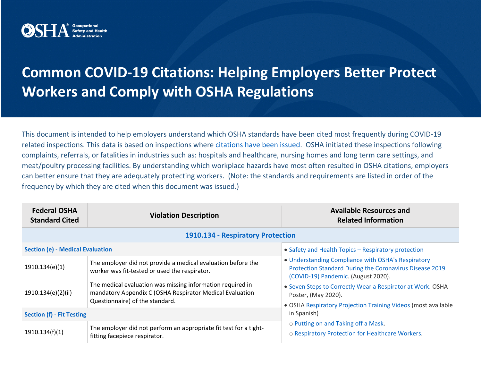

## **Common COVID-19 Citations: Helping Employers Better Protect Workers and Comply with OSHA Regulations**

This document is intended to help employers understand which OSHA standards have been cited most frequently during COVID-19 related inspections. This data is based on inspections where [citations have been issued.](https://www.osha.gov/enforcement/covid-19-data) OSHA initiated these inspections following complaints, referrals, or fatalities in industries such as: hospitals and healthcare, nursing homes and long term care settings, and meat/poultry processing facilities. By understanding which workplace hazards have most often resulted in OSHA citations, employers can better ensure that they are adequately protecting workers. (Note: the standards and requirements are listed in order of the frequency by which they are cited when this document was issued.)

| <b>Federal OSHA</b><br><b>Standard Cited</b> | <b>Violation Description</b>                                                                                                                              | <b>Available Resources and</b><br><b>Related Information</b>                                                                                                                                                                              |  |  |
|----------------------------------------------|-----------------------------------------------------------------------------------------------------------------------------------------------------------|-------------------------------------------------------------------------------------------------------------------------------------------------------------------------------------------------------------------------------------------|--|--|
| 1910.134 - Respiratory Protection            |                                                                                                                                                           |                                                                                                                                                                                                                                           |  |  |
| <b>Section (e) - Medical Evaluation</b>      |                                                                                                                                                           | • Safety and Health Topics - Respiratory protection                                                                                                                                                                                       |  |  |
| 1910.134(e)(1)                               | The employer did not provide a medical evaluation before the<br>worker was fit-tested or used the respirator.                                             | • Understanding Compliance with OSHA's Respiratory<br>Protection Standard During the Coronavirus Disease 2019<br>(COVID-19) Pandemic. (August 2020).<br>• Seven Steps to Correctly Wear a Respirator at Work. OSHA<br>Poster, (May 2020). |  |  |
| 1910.134(e)(2)(ii)                           | The medical evaluation was missing information required in<br>mandatory Appendix C (OSHA Respirator Medical Evaluation<br>Questionnaire) of the standard. |                                                                                                                                                                                                                                           |  |  |
| <b>Section (f) - Fit Testing</b>             |                                                                                                                                                           | • OSHA Respiratory Projection Training Videos (most available<br>in Spanish)                                                                                                                                                              |  |  |
| 1910.134(f)(1)                               | The employer did not perform an appropriate fit test for a tight-<br>fitting facepiece respirator.                                                        | o Putting on and Taking off a Mask.<br>o Respiratory Protection for Healthcare Workers.                                                                                                                                                   |  |  |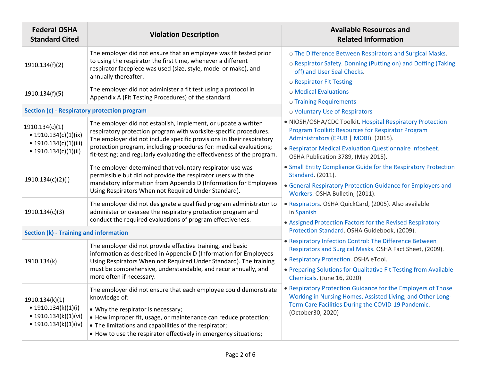| <b>Federal OSHA</b><br><b>Standard Cited</b>                                                | <b>Violation Description</b>                                                                                                                                                                                                                                                                       | <b>Available Resources and</b><br><b>Related Information</b>                                                                                                                                          |
|---------------------------------------------------------------------------------------------|----------------------------------------------------------------------------------------------------------------------------------------------------------------------------------------------------------------------------------------------------------------------------------------------------|-------------------------------------------------------------------------------------------------------------------------------------------------------------------------------------------------------|
| 1910.134(f)(2)                                                                              | The employer did not ensure that an employee was fit tested prior<br>to using the respirator the first time, whenever a different<br>respirator facepiece was used (size, style, model or make), and<br>annually thereafter.                                                                       | o The Difference Between Respirators and Surgical Masks.<br>o Respirator Safety. Donning (Putting on) and Doffing (Taking<br>off) and User Seal Checks.<br>o Respirator Fit Testing                   |
| 1910.134(f)(5)                                                                              | The employer did not administer a fit test using a protocol in<br>Appendix A (Fit Testing Procedures) of the standard.                                                                                                                                                                             | o Medical Evaluations<br>o Training Requirements                                                                                                                                                      |
| Section (c) - Respiratory protection program                                                |                                                                                                                                                                                                                                                                                                    | o Voluntary Use of Respirators                                                                                                                                                                        |
| 1910.134(c)(1)<br>• 1910.134(c)(1)(ix)<br>• $1910.134(c)(1)(iii)$                           | The employer did not establish, implement, or update a written<br>respiratory protection program with worksite-specific procedures.<br>The employer did not include specific provisions in their respiratory<br>protection program, including procedures for: medical evaluations;                 | • NIOSH/OSHA/CDC Toolkit. Hospital Respiratory Protection<br>Program Toolkit: Resources for Respirator Program<br>Administrators (EPUB   MOBI). (2015).                                               |
| • $1910.134(c)(1)(ii)$                                                                      | fit-testing; and regularly evaluating the effectiveness of the program.                                                                                                                                                                                                                            | • Respirator Medical Evaluation Questionnaire Infosheet.<br>OSHA Publication 3789, (May 2015).                                                                                                        |
| 1910.134(c)(2)(i)                                                                           | The employer determined that voluntary respirator use was<br>permissible but did not provide the respirator users with the<br>mandatory information from Appendix D (Information for Employees<br>Using Respirators When not Required Under Standard).                                             | • Small Entity Compliance Guide for the Respiratory Protection<br>Standard. (2011).                                                                                                                   |
|                                                                                             |                                                                                                                                                                                                                                                                                                    | • General Respiratory Protection Guidance for Employers and<br>Workers. OSHA Bulletin, (2011).                                                                                                        |
| 1910.134(c)(3)                                                                              | The employer did not designate a qualified program administrator to<br>administer or oversee the respiratory protection program and                                                                                                                                                                | · Respirators. OSHA QuickCard, (2005). Also available<br>in Spanish                                                                                                                                   |
|                                                                                             | conduct the required evaluations of program effectiveness.                                                                                                                                                                                                                                         | • Assigned Protection Factors for the Revised Respiratory<br>Protection Standard. OSHA Guidebook, (2009).                                                                                             |
| Section (k) - Training and information                                                      |                                                                                                                                                                                                                                                                                                    | • Respiratory Infection Control: The Difference Between                                                                                                                                               |
| 1910.134(k)                                                                                 | The employer did not provide effective training, and basic<br>information as described in Appendix D (Information for Employees<br>Using Respirators When not Required Under Standard). The training<br>must be comprehensive, understandable, and recur annually, and<br>more often if necessary. | Respirators and Surgical Masks. OSHA Fact Sheet, (2009).                                                                                                                                              |
|                                                                                             |                                                                                                                                                                                                                                                                                                    | • Respiratory Protection. OSHA eTool.<br>• Preparing Solutions for Qualitative Fit Testing from Available                                                                                             |
|                                                                                             |                                                                                                                                                                                                                                                                                                    | Chemicals. (June 16, 2020)                                                                                                                                                                            |
| 1910.134(k)(1)<br>• $1910.134(k)(1)(i)$<br>• $1910.134(k)(1)(vi)$<br>• $1910.134(k)(1)(iv)$ | The employer did not ensure that each employee could demonstrate<br>knowledge of:                                                                                                                                                                                                                  | • Respiratory Protection Guidance for the Employers of Those<br>Working in Nursing Homes, Assisted Living, and Other Long-<br>Term Care Facilities During the COVID-19 Pandemic.<br>(October30, 2020) |
|                                                                                             | • Why the respirator is necessary;<br>• How improper fit, usage, or maintenance can reduce protection;<br>• The limitations and capabilities of the respirator;<br>• How to use the respirator effectively in emergency situations;                                                                |                                                                                                                                                                                                       |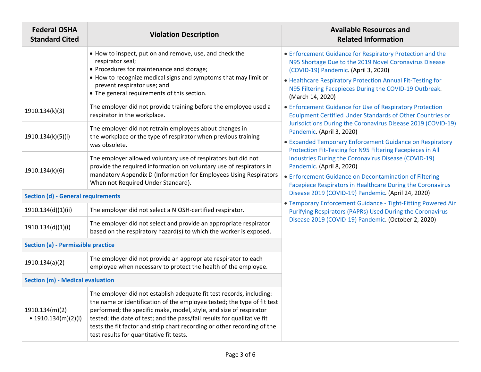| <b>Federal OSHA</b><br><b>Standard Cited</b> | <b>Violation Description</b>                                                                                                                                                                                                                                                                                                                                                                                             | <b>Available Resources and</b><br><b>Related Information</b>                                                                                                                                                                                                                                                                                                                                                                                                                                                                                                                                                                                                                                                                                                                                                                                                                |
|----------------------------------------------|--------------------------------------------------------------------------------------------------------------------------------------------------------------------------------------------------------------------------------------------------------------------------------------------------------------------------------------------------------------------------------------------------------------------------|-----------------------------------------------------------------------------------------------------------------------------------------------------------------------------------------------------------------------------------------------------------------------------------------------------------------------------------------------------------------------------------------------------------------------------------------------------------------------------------------------------------------------------------------------------------------------------------------------------------------------------------------------------------------------------------------------------------------------------------------------------------------------------------------------------------------------------------------------------------------------------|
|                                              | • How to inspect, put on and remove, use, and check the<br>respirator seal;<br>• Procedures for maintenance and storage;<br>• How to recognize medical signs and symptoms that may limit or<br>prevent respirator use; and<br>• The general requirements of this section.                                                                                                                                                | • Enforcement Guidance for Respiratory Protection and the<br>N95 Shortage Due to the 2019 Novel Coronavirus Disease<br>(COVID-19) Pandemic. (April 3, 2020)<br>• Healthcare Respiratory Protection Annual Fit-Testing for<br>N95 Filtering Facepieces During the COVID-19 Outbreak.<br>(March 14, 2020)<br>• Enforcement Guidance for Use of Respiratory Protection<br>Equipment Certified Under Standards of Other Countries or<br>Jurisdictions During the Coronavirus Disease 2019 (COVID-19)<br>Pandemic. (April 3, 2020)<br>• Expanded Temporary Enforcement Guidance on Respiratory<br>Protection Fit-Testing for N95 Filtering Facepieces in All<br><b>Industries During the Coronavirus Disease (COVID-19)</b><br>Pandemic. (April 8, 2020)<br>• Enforcement Guidance on Decontamination of Filtering<br>Facepiece Respirators in Healthcare During the Coronavirus |
| 1910.134(k)(3)                               | The employer did not provide training before the employee used a<br>respirator in the workplace.                                                                                                                                                                                                                                                                                                                         |                                                                                                                                                                                                                                                                                                                                                                                                                                                                                                                                                                                                                                                                                                                                                                                                                                                                             |
| 1910.134(k)(5)(i)                            | The employer did not retrain employees about changes in<br>the workplace or the type of respirator when previous training<br>was obsolete.                                                                                                                                                                                                                                                                               |                                                                                                                                                                                                                                                                                                                                                                                                                                                                                                                                                                                                                                                                                                                                                                                                                                                                             |
| 1910.134(k)(6)                               | The employer allowed voluntary use of respirators but did not<br>provide the required information on voluntary use of respirators in<br>mandatory Appendix D (Information for Employees Using Respirators<br>When not Required Under Standard).                                                                                                                                                                          |                                                                                                                                                                                                                                                                                                                                                                                                                                                                                                                                                                                                                                                                                                                                                                                                                                                                             |
| <b>Section (d) - General requirements</b>    |                                                                                                                                                                                                                                                                                                                                                                                                                          | Disease 2019 (COVID-19) Pandemic. (April 24, 2020)                                                                                                                                                                                                                                                                                                                                                                                                                                                                                                                                                                                                                                                                                                                                                                                                                          |
| 1910.134(d)(1)(ii)                           | The employer did not select a NIOSH-certified respirator.                                                                                                                                                                                                                                                                                                                                                                | • Temporary Enforcement Guidance - Tight-Fitting Powered Air<br>Purifying Respirators (PAPRs) Used During the Coronavirus<br>Disease 2019 (COVID-19) Pandemic. (October 2, 2020)                                                                                                                                                                                                                                                                                                                                                                                                                                                                                                                                                                                                                                                                                            |
| 1910.134(d)(1)(i)                            | The employer did not select and provide an appropriate respirator<br>based on the respiratory hazard(s) to which the worker is exposed.                                                                                                                                                                                                                                                                                  |                                                                                                                                                                                                                                                                                                                                                                                                                                                                                                                                                                                                                                                                                                                                                                                                                                                                             |
| Section (a) - Permissible practice           |                                                                                                                                                                                                                                                                                                                                                                                                                          |                                                                                                                                                                                                                                                                                                                                                                                                                                                                                                                                                                                                                                                                                                                                                                                                                                                                             |
| 1910.134(a)(2)                               | The employer did not provide an appropriate respirator to each<br>employee when necessary to protect the health of the employee.                                                                                                                                                                                                                                                                                         |                                                                                                                                                                                                                                                                                                                                                                                                                                                                                                                                                                                                                                                                                                                                                                                                                                                                             |
| <b>Section (m) - Medical evaluation</b>      |                                                                                                                                                                                                                                                                                                                                                                                                                          |                                                                                                                                                                                                                                                                                                                                                                                                                                                                                                                                                                                                                                                                                                                                                                                                                                                                             |
| 1910.134(m)(2)<br>• 1910.134(m)(2)(i)        | The employer did not establish adequate fit test records, including:<br>the name or identification of the employee tested; the type of fit test<br>performed; the specific make, model, style, and size of respirator<br>tested; the date of test; and the pass/fail results for qualitative fit<br>tests the fit factor and strip chart recording or other recording of the<br>test results for quantitative fit tests. |                                                                                                                                                                                                                                                                                                                                                                                                                                                                                                                                                                                                                                                                                                                                                                                                                                                                             |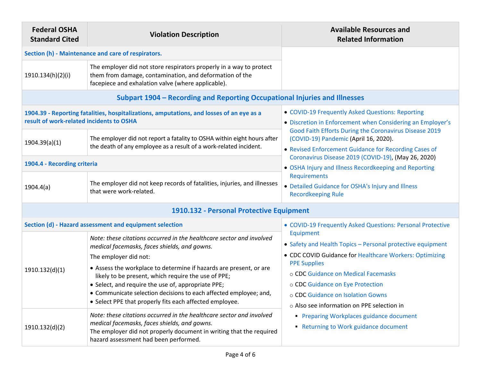| <b>Federal OSHA</b><br><b>Standard Cited</b>                               | <b>Violation Description</b>                                                                                                                                                                                                                                                                                    | <b>Available Resources and</b><br><b>Related Information</b>                                                                                                                                                                                                                                                                                                                                               |  |  |
|----------------------------------------------------------------------------|-----------------------------------------------------------------------------------------------------------------------------------------------------------------------------------------------------------------------------------------------------------------------------------------------------------------|------------------------------------------------------------------------------------------------------------------------------------------------------------------------------------------------------------------------------------------------------------------------------------------------------------------------------------------------------------------------------------------------------------|--|--|
| Section (h) - Maintenance and care of respirators.                         |                                                                                                                                                                                                                                                                                                                 |                                                                                                                                                                                                                                                                                                                                                                                                            |  |  |
| 1910.134(h)(2)(i)                                                          | The employer did not store respirators properly in a way to protect<br>them from damage, contamination, and deformation of the<br>facepiece and exhalation valve (where applicable).                                                                                                                            |                                                                                                                                                                                                                                                                                                                                                                                                            |  |  |
| Subpart 1904 - Recording and Reporting Occupational Injuries and Illnesses |                                                                                                                                                                                                                                                                                                                 |                                                                                                                                                                                                                                                                                                                                                                                                            |  |  |
| result of work-related incidents to OSHA                                   | 1904.39 - Reporting fatalities, hospitalizations, amputations, and losses of an eye as a                                                                                                                                                                                                                        | • COVID-19 Frequently Asked Questions: Reporting<br>• Discretion in Enforcement when Considering an Employer's                                                                                                                                                                                                                                                                                             |  |  |
| 1904.39(a)(1)                                                              | The employer did not report a fatality to OSHA within eight hours after<br>the death of any employee as a result of a work-related incident.                                                                                                                                                                    | Good Faith Efforts During the Coronavirus Disease 2019<br>(COVID-19) Pandemic (April 16, 2020).<br>• Revised Enforcement Guidance for Recording Cases of<br>Coronavirus Disease 2019 (COVID-19), (May 26, 2020)<br>• OSHA Injury and Illness Recordkeeping and Reporting<br>Requirements<br>• Detailed Guidance for OSHA's Injury and Illness<br><b>Recordkeeping Rule</b>                                 |  |  |
| 1904.4 - Recording criteria                                                |                                                                                                                                                                                                                                                                                                                 |                                                                                                                                                                                                                                                                                                                                                                                                            |  |  |
| 1904.4(a)                                                                  | The employer did not keep records of fatalities, injuries, and illnesses<br>that were work-related.                                                                                                                                                                                                             |                                                                                                                                                                                                                                                                                                                                                                                                            |  |  |
| 1910.132 - Personal Protective Equipment                                   |                                                                                                                                                                                                                                                                                                                 |                                                                                                                                                                                                                                                                                                                                                                                                            |  |  |
|                                                                            | Section (d) - Hazard assessment and equipment selection                                                                                                                                                                                                                                                         | • COVID-19 Frequently Asked Questions: Personal Protective                                                                                                                                                                                                                                                                                                                                                 |  |  |
| 1910.132(d)(1)                                                             | Note: these citations occurred in the healthcare sector and involved<br>medical facemasks, faces shields, and gowns.                                                                                                                                                                                            | Equipment<br>• Safety and Health Topics - Personal protective equipment<br>• CDC COVID Guidance for Healthcare Workers: Optimizing<br><b>PPE Supplies</b><br>o CDC Guidance on Medical Facemasks<br>o CDC Guidance on Eye Protection<br>o CDC Guidance on Isolation Gowns<br>o Also see information on PPE selection in<br>• Preparing Workplaces guidance document<br>Returning to Work guidance document |  |  |
|                                                                            | The employer did not:                                                                                                                                                                                                                                                                                           |                                                                                                                                                                                                                                                                                                                                                                                                            |  |  |
|                                                                            | • Assess the workplace to determine if hazards are present, or are<br>likely to be present, which require the use of PPE;<br>• Select, and require the use of, appropriate PPE;<br>• Communicate selection decisions to each affected employee; and,<br>• Select PPE that properly fits each affected employee. |                                                                                                                                                                                                                                                                                                                                                                                                            |  |  |
| 1910.132(d)(2)                                                             | Note: these citations occurred in the healthcare sector and involved<br>medical facemasks, faces shields, and gowns.<br>The employer did not properly document in writing that the required<br>hazard assessment had been performed.                                                                            |                                                                                                                                                                                                                                                                                                                                                                                                            |  |  |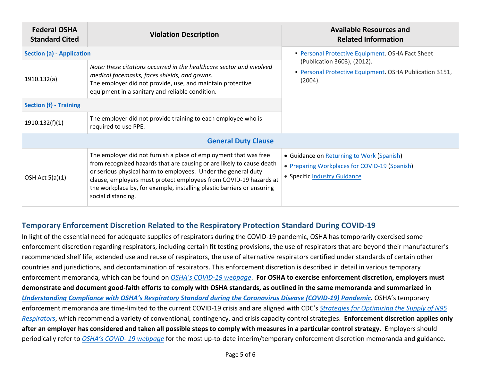| <b>Federal OSHA</b><br><b>Standard Cited</b> | <b>Violation Description</b>                                                                                                                                                                                                                                                                                                                                                    | <b>Available Resources and</b><br><b>Related Information</b>                                                               |  |  |
|----------------------------------------------|---------------------------------------------------------------------------------------------------------------------------------------------------------------------------------------------------------------------------------------------------------------------------------------------------------------------------------------------------------------------------------|----------------------------------------------------------------------------------------------------------------------------|--|--|
| <b>Section (a) - Application</b>             |                                                                                                                                                                                                                                                                                                                                                                                 | • Personal Protective Equipment. OSHA Fact Sheet                                                                           |  |  |
| 1910.132(a)                                  | Note: these citations occurred in the healthcare sector and involved<br>medical facemasks, faces shields, and gowns.<br>The employer did not provide, use, and maintain protective<br>equipment in a sanitary and reliable condition.                                                                                                                                           | (Publication 3603), (2012).<br>Personal Protective Equipment. OSHA Publication 3151,<br>(2004).                            |  |  |
| <b>Section (f) - Training</b>                |                                                                                                                                                                                                                                                                                                                                                                                 |                                                                                                                            |  |  |
| 1910.132(f)(1)                               | The employer did not provide training to each employee who is<br>required to use PPE.                                                                                                                                                                                                                                                                                           |                                                                                                                            |  |  |
| <b>General Duty Clause</b>                   |                                                                                                                                                                                                                                                                                                                                                                                 |                                                                                                                            |  |  |
| OSH Act $5(a)(1)$                            | The employer did not furnish a place of employment that was free<br>from recognized hazards that are causing or are likely to cause death<br>or serious physical harm to employees. Under the general duty<br>clause, employers must protect employees from COVID-19 hazards at<br>the workplace by, for example, installing plastic barriers or ensuring<br>social distancing. | • Guidance on Returning to Work (Spanish)<br>• Preparing Workplaces for COVID-19 (Spanish)<br>• Specific Industry Guidance |  |  |

## **Temporary Enforcement Discretion Related to the Respiratory Protection Standard During COVID-19**

In light of the essential need for adequate supplies of respirators during the COVID-19 pandemic, OSHA has temporarily exercised some enforcement discretion regarding respirators, including certain fit testing provisions, the use of respirators that are beyond their manufacturer's recommended shelf life, extended use and reuse of respirators, the use of alternative respirators certified under standards of certain other countries and jurisdictions, and decontamination of respirators. This enforcement discretion is described in detail in various temporary enforcement memoranda, which can be found on *[OSHA's COVID-19 webpage](https://www.osha.gov/SLTC/covid-19/)*. **For OSHA to exercise enforcement discretion, employers must demonstrate and document good-faith efforts to comply with OSHA standards, as outlined in the same memoranda and summarized in**  *[Understanding Compliance with OSHA's Respiratory Standard during the Coronavirus Disease \(COVID-19\) Pandemic](https://www.osha.gov/sites/default/files/respiratory-protection-covid19-compliance.pdf)***.** OSHA's temporary enforcement memoranda are time-limited to the current COVID-19 crisis and are aligned with CDC's *[Strategies for Optimizing the Supply of N95](http://www.cdc.gov/coronavirus/2019-ncov/hcp/respirators-strategy/index.html)  [Respirators](http://www.cdc.gov/coronavirus/2019-ncov/hcp/respirators-strategy/index.html)*, which recommend a variety of conventional, contingency, and crisis capacity control strategies. **Enforcement discretion applies only after an employer has considered and taken all possible steps to comply with measures in a particular control strategy.** Employers should periodically refer to *[OSHA's COVID-](https://www.osha.gov/SLTC/covid-19/) 19 webpage* for the most up-to-date interim/temporary enforcement discretion memoranda and guidance.